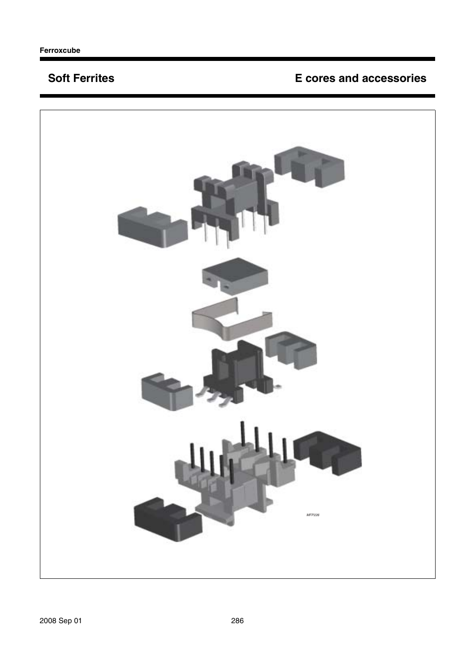## **Soft Ferrites <b>E** cores and accessories